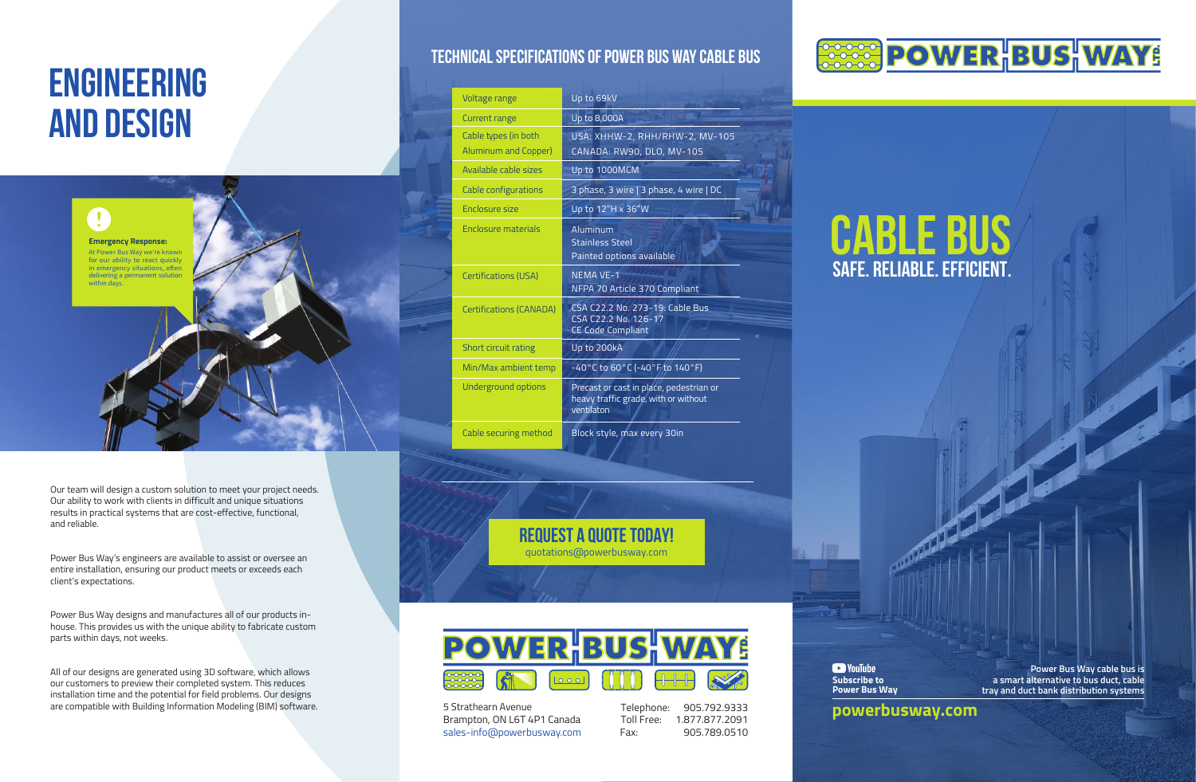# cable bus safe. reliable. efficient.

**Power Bus Way cable bus is a smart alternative to bus duct, cable tray and duct bank distribution systems**

# **ENGINEERING AND DESIGN**



Power Bus Way designs and manufactures all of our products inhouse. This provides us with the unique ability to fabricate custom parts within days, not weeks.

> **Da** YouTube **Subscribe to**



All of our designs are generated using 3D software, which allows our customers to preview their completed system. This reduces installation time and the potential for field problems. Our designs are compatible with Building Information Modeling (BIM) software.

Our team will design a custom solution to meet your project needs. Our ability to work with clients in difficult and unique situations results in practical systems that are cost-effective, functional, and reliable.

Power Bus Way's engineers are available to assist or oversee an entire installation, ensuring our product meets or exceeds each client's expectations.

> 5 Strathearn Avenue Brampton, ON L6T sales-info@powerbusway.com

**Power Bus Way**

### Technical Specifications of Power Bus Way Cable Bus

Voltage

Current Cable t Alumin

Availab

Cable c

Enclosu

Enclose

Certific

Certific

Short of Min/Ma

Underg

Cable s

| range                          | Up to 69kV                                                                                    |
|--------------------------------|-----------------------------------------------------------------------------------------------|
| range                          | Up to 8,000A                                                                                  |
| pes (in both<br>Im and Copper) | USA: XHHW-2, RHH/RHW-2, MV-105<br>CANADA: RW90, DLO, MV-105                                   |
| e cable sizes                  | Up to 1000MCM                                                                                 |
| onfigurations                  | 3 phase, 3 wire   3 phase, 4 wire   DC                                                        |
| re size                        | Up to 12"H x 36"W                                                                             |
| re materials                   | Aluminum<br><b>Stainless Steel</b><br>Painted options available                               |
| tions (USA)                    | <b>NEMA VE-1</b><br>NFPA 70 Article 370 Compliant                                             |
| tions (CANADA)                 | CSA C22.2 No. 273-19: Cable Bus<br>CSA C22.2 No. 126-17<br><b>CE Code Compliant</b>           |
| rcuit rating                   | Up to 200kA                                                                                   |
| x ambient temp                 | $-40^{\circ}$ C to 60 $^{\circ}$ C (-40 $^{\circ}$ F to 140 $^{\circ}$ F)                     |
| ound options                   | Precast or cast in place, pedestrian or<br>heavy traffic grade, with or without<br>ventilaton |
| ecuring method                 | Block style, max every 30in                                                                   |

Request a Quote Today! quotations@powerbusway.com



4P1 Canada **powerbusway.com**

Telephone: 905.792.9333 Toll Free: 1.877.877.2091Fax: 905.789.0510